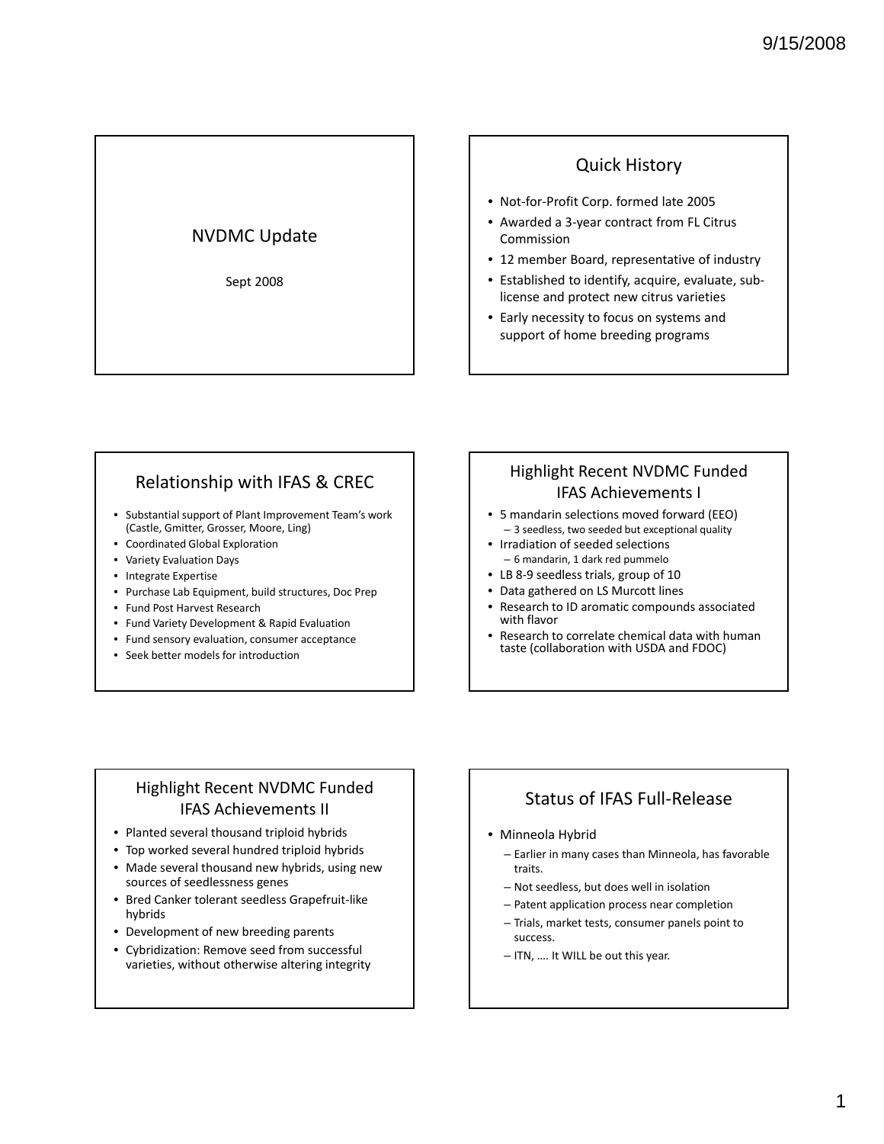#### NVDMC Update

Sept 2008

#### Quick History

- Not‐for‐Profit Corp. formed late 2005
- Awarded a 3‐year contract from FL Citrus Commission
- 12 member Board, representative of industry
- Established to identify, acquire, evaluate, sub‐ license and protect new citrus varieties
- Early necessity to focus on systems and support of home breeding programs

### Relationship with IFAS & CREC

- Substantial support of Plant Improvement Team's work (Castle, Gmitter, Grosser, Moore, Ling)
- Coordinated Global Exploration
- Variety Evaluation Days
- Integrate Expertise
- Purchase Lab Equipment, build structures, Doc Prep
- Fund Post Harvest Research
- Fund Variety Development & Rapid Evaluation
- Fund sensory evaluation, consumer acceptance
- Seek better models for introduction

# Highlight Recent NVDMC Funded IFAS Achievements I

- 5 mandarin selections moved forward (EEO) – 3 seedless, two seeded but exceptional quality
- Irradiation of seeded selections – 6 mandarin, 1 dark red pummelo
- LB 8-9 seedless trials, group of 10
- Data gathered on LS Murcott lines
- Research to ID aromatic compounds associated with flavor
- Research to correlate chemical data with human taste (collaboration with USDA and FDOC)

#### Highlight Recent NVDMC Funded IFAS Achievements II

- Planted several thousand triploid hybrids
- Top worked several hundred triploid hybrids
- Made several thousand new hybrids, using new sources of seedlessness genes
- Bred Canker tolerant seedless Grapefruit‐like hybrids
- Development of new breeding parents
- Cybridization: Remove seed from successful varieties, without otherwise altering integrity

# Status of IFAS Full‐Release

#### • Minneola Hybrid

- Earlier in many cases than Minneola, has favorable traits.
- $-$  Not seedless, but does well in isolation
- Patent application process near completion
- Trials, market tests, consumer panels point to success.
- ITN, …. It WILL be out this year.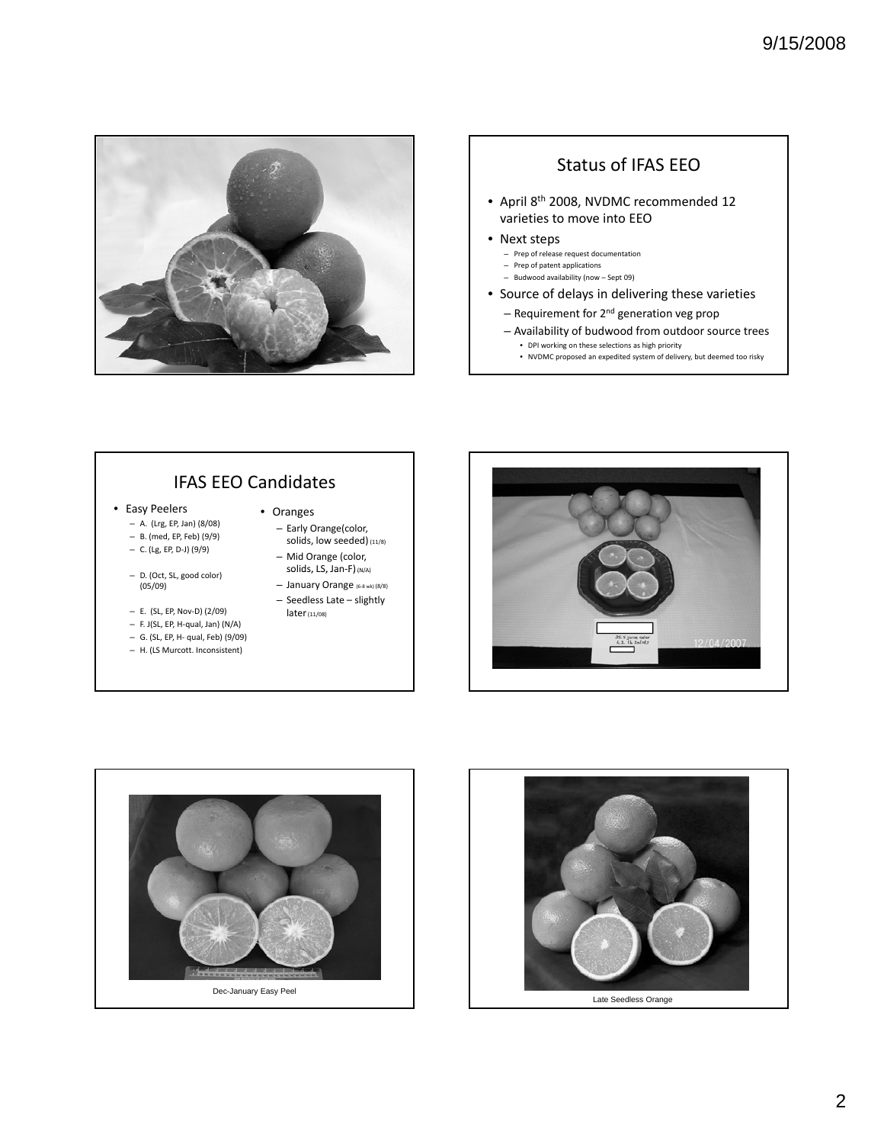

## Status of IFAS EEO

- April 8th 2008, NVDMC recommended 12 varieties to move into EEO
- Next steps
	- Prep of release request documentation
	- Prep of patent applications – Budwood availability (now – Sept 09)
- Source of delays in delivering these varieties
	- $-$  Requirement for  $2<sup>nd</sup>$  generation veg prop
	- Availability of budwood from outdoor source trees • DPI working on these selections as high priority
		- NVDMC proposed an expedited system of delivery, but deemed too risky

# IFAS EEO Candidates

- Easy Peelers
	- A. (Lrg, EP, Jan) (8/08) – B. (med, EP, Feb) (9/9)
	- C. (Lg, EP, D‐J) (9/9)
	- D. (Oct, SL, good color) (05/09)
	- E. (SL, EP, Nov‐D) (2/09)
	- F. J(SL, EP, H‐qual, Jan) (N/A)
	- G. (SL, EP, H‐ qual, Feb) (9/09)
	- H. (LS Murcott. Inconsistent)

#### • Oranges

- Early Orange(color, solids, low seeded) (11/8)
- Mid Orange (color, solids, LS, Jan-F) (N/A)
- January Orange (6‐<sup>8</sup> wk) (8/8) – Seedless Late – slightly later(11/08)





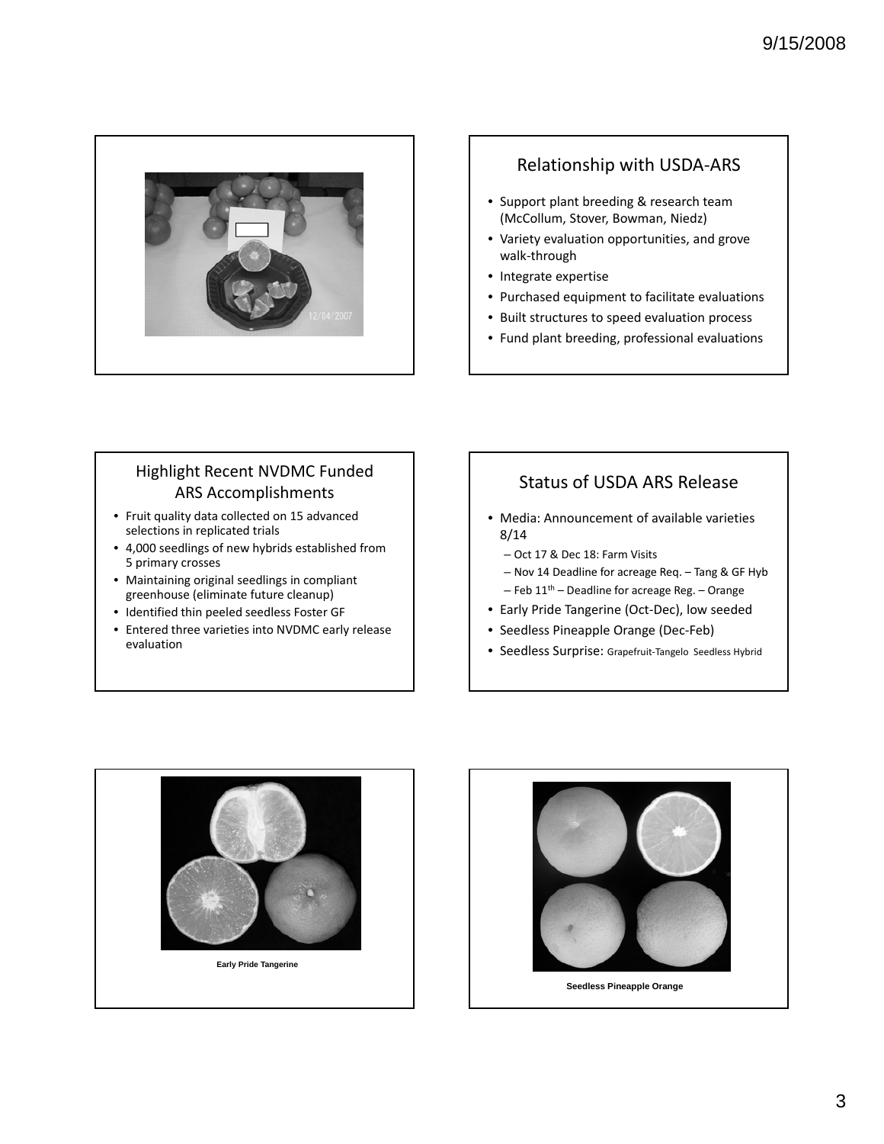

## Relationship with USDA‐ARS

- Support plant breeding & research team (McCollum, Stover, Bowman, Niedz)
- Variety evaluation opportunities, and grove walk‐through
- Integrate expertise
- Purchased equipment to facilitate evaluations
- Built structures to speed evaluation process
- Fund plant breeding, professional evaluations

# Highlight Recent NVDMC Funded ARS Accomplishments

- Fruit quality data collected on 15 advanced selections in replicated trials
- 4,000 seedlings of new hybrids established from 5 primary crosses
- Maintaining original seedlings in compliant greenhouse (eliminate future cleanup)
- Identified thin peeled seedless Foster GF
- Entered three varieties into NVDMC early release evaluation

# Status of USDA ARS Release

- Media: Announcement of available varieties 8/14
	- Oct 17 & Dec 18: Farm Visits
	- Nov 14 Deadline for acreage Req. Tang & GF Hyb
	- $-$  Feb 11<sup>th</sup> Deadline for acreage Reg. Orange
- Early Pride Tangerine (Oct‐Dec), low seeded
- Seedless Pineapple Orange (Dec‐Feb)
- Seedless Surprise: Grapefruit‐Tangelo Seedless Hybrid